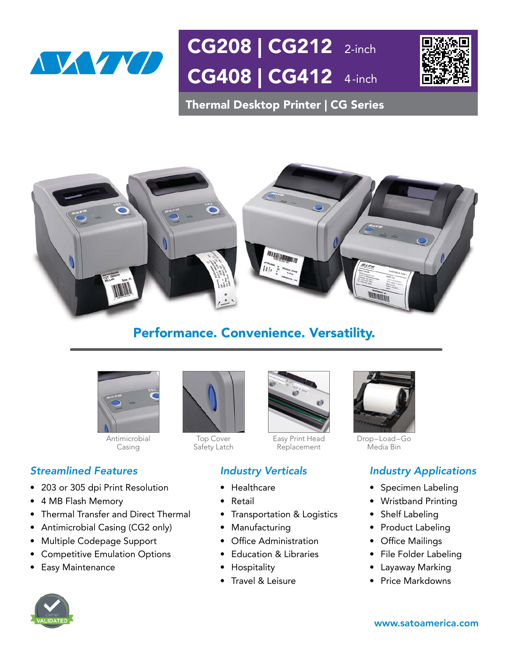

Thermal Desktop Printer | CG Series



## Performance. Convenience. Versatility.



Antimicrobial Casing

#### *Streamlined Features*

- 203 or 305 dpi Print Resolution
- 4 MB Flash Memory
- Thermal Transfer and Direct Thermal
- Antimicrobial Casing (CG2 only)
- Multiple Codepage Support
- Competitive Emulation Options
- Easy Maintenance



Top Cover Safety Latch



Easy Print Head Replacement

### *Industry Verticals*

- Healthcare
- **Retail**
- Transportation & Logistics
- Manufacturing
- $\bullet$  Office Administration
- Education & Libraries
- Hospitality
- Travel & Leisure



Drop–Load–Go Media Bin

### *Industry Applications*

- Specimen Labeling
- Wristband Printing
- Shelf Labeling
- Product Labeling
- Office Mailings
- File Folder Labeling
- Layaway Marking
- Price Markdowns